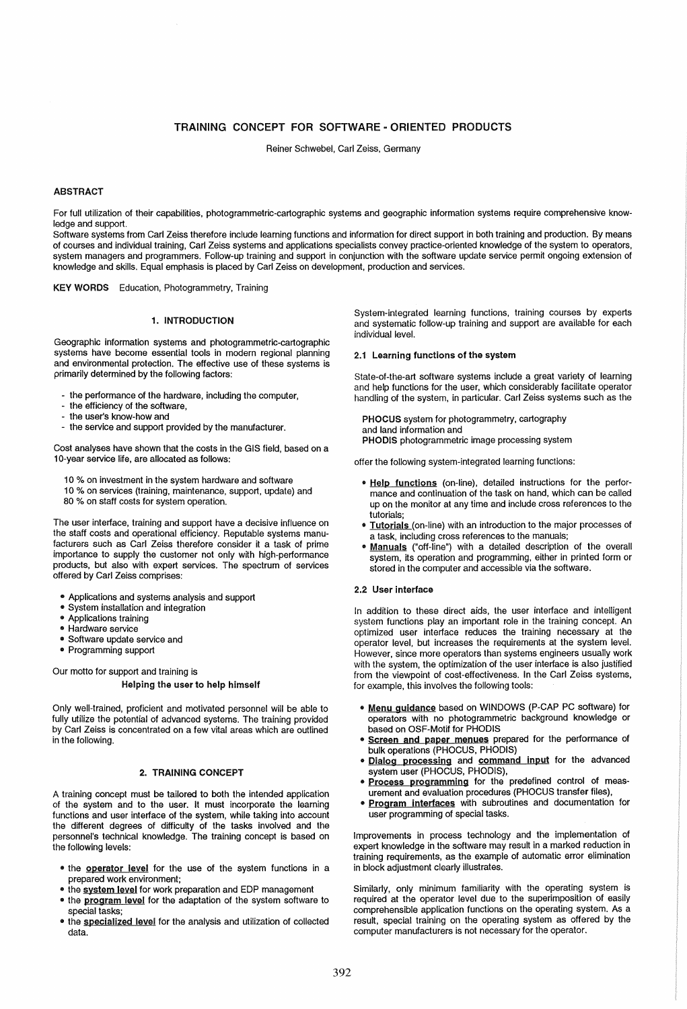# TRAINING CONCEPT FOR SOFTWARE - ORIENTED PRODUCTS

Reiner Schwebel, Carl Zeiss, Germany

# ABSTRACT

For full utilization of their capabilities, photogrammetric-cartographic systems and geographic information systems require comprehensive knowledge and support.

Software systems from Carl Zeiss therefore include learning functions and information for direct support in both training and production. By means of courses and individual training, Carl Zeiss systems and applications specialists convey practice-oriented knowledge of the system to operators, system managers and programmers. Follow-up training and support in conjunction with the software update service permit ongoing extension of knowledge and skills. Equal emphasis is placed by Carl Zeiss on development, production and services.

KEY WORDS Education, Photogrammetry, Training

# 1. INTRODUCTION

Geographic information systems and photogrammetric-cartographic systems have become essential tools in modern regional planning and environmental protection. The effective use of these systems is primarily determined by the following factors:

- the performance of the hardware, including the computer,
- the efficiency of the software,
- the user's know-how and
- the service and support provided by the manufacturer.

Cost analyses have shown that the costs in the GIS field, based on a 10-year service life, are allocated as follows:

- 10 % on investment in the system hardware and software
- 10 % on services (training, maintenance, support, update) and
- 80 % on staff costs for system operation.

The user interface, training and support have a decisive influence on the staff costs and operational efficiency. Reputable systems manufacturers such as Carl Zeiss therefore consider it a task of prime importance to supply the customer not only with high-performance products, but also with expert services. The spectrum of services offered by Carl Zeiss comprises:

- Applications and systems analysis and support
- System installation and integration
- Applications training
- Hardware service
- Software update service and
- Programming support

Our motto for support and training is

### Helping the user to help himself

Only well-trained, proficient and motivated personnel will be able to fully utilize the potential of advanced systems. The training provided by Carl Zeiss is concentrated on a few vital areas which are outlined in the following.

### 2. TRAINING CONCEPT

A training concept must be tailored to both the intended application of the system and to the user. It must incorporate the learning functions and user interface of the system, while taking into account the different degrees of difficulty of the tasks involved and the personnel's technical knowledge. The training concept is based on the following levels:

- the **operator level** for the use of the system functions in a prepared work environment;
- the system level for work preparation and EDP management
- the program level for the adaptation of the system software to special tasks;
- the specialized level for the analysis and utilization of collected data.

System-integrated learning functions, training courses by experts and systematic follow-up training and support are available for each individual level.

# 2.1 learning functions of the system

State-of-the-art software systems include a great variety of learning and help functions for the user, which considerably facilitate operator handling of the system, in particular. Carl Zeiss systems such as the

PHOCUS system for photogrammetry, cartography and land information and PHODIS photogrammetric image processing system

offer the following system-integrated learning functions:

- Help functions (on-line), detailed instructions for the performance and continuation of the task on hand, which can be called up on the monitor at any time and include cross references to the tutorials;
- Tutorials (on-line) with an introduction to the major processes of a task, including cross references to the manuals;
- Manuals ("off-line") with a detailed description of the overall system, its operation and programming, either in printed form or stored in the computer and accessible via the software.

## 2.2 User interface

In addition to these direct aids, the user interface and intelligent system functions play an important role in the training concept. An optimized user interface reduces the training necessary at the operator level, but increases the requirements at the system level. However, since more operators than systems engineers usually work with the system, the optimization of the user interface is also justified from the viewpoint of cost-effectiveness. In the Carl Zeiss systems, for example, this involves the following tools:

- Menu guidance based on WINDOWS (P-CAP PC software) for operators with no photogrammetric background knowledge or based on OSF-Motif for PHODIS
- Screen and paper menues prepared for the performance of bulk operations (PHOCUS, PHODIS)
- Dialog processing and command input for the advanced system user (PHOCUS, PHODIS),
- Process programming for the predefined control of measurement and evaluation procedures (PHOCUS transfer files),
- **Program interfaces** with subroutines and documentation for user programming of special tasks.

Improvements in process technology and the implementation of expert knowledge in the software may result in a marked reduction in training requirements, as the example of automatic error elimination in block adjustment clearly illustrates.

Similarly, only minimum familiarity with the operating system is required at the operator level due to the superimposition of easily comprehensible application functions on the operating system. As a result, special training on the operating system as offered by the computer manufacturers is not necessary for the operator.